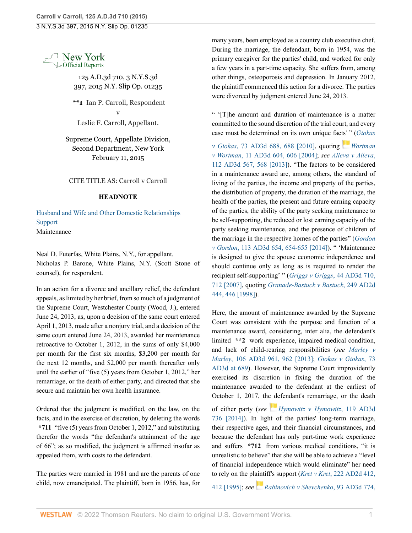

125 A.D.3d 710, 3 N.Y.S.3d 397, 2015 N.Y. Slip Op. 01235

**\*\*1** Ian P. Carroll, Respondent v Leslie F. Carroll, Appellant.

Supreme Court, Appellate Division, Second Department, New York February 11, 2015

CITE TITLE AS: Carroll v Carroll

## **HEADNOTE**

[Husband and Wife and Other Domestic Relationships](http://www.westlaw.com/Browse/Home/NYOKeyNumber/NY00000012170/View.html?docGuid=Ic6ddc069b1f611e4a795ac035416da91&contentType=nyoDigest2and3&originationContext=document&transitionType=Document&vr=3.0&rs=cblt1.0&contextData=(sc.Search)) [Support](http://www.westlaw.com/Browse/Home/NYOKeyNumber/NY00000012172/View.html?docGuid=Ic6ddc069b1f611e4a795ac035416da91&contentType=nyoDigest2and3&originationContext=document&transitionType=Document&vr=3.0&rs=cblt1.0&contextData=(sc.Search)) Maintenance

Neal D. Futerfas, White Plains, N.Y., for appellant. Nicholas P. Barone, White Plains, N.Y. (Scott Stone of counsel), for respondent.

In an action for a divorce and ancillary relief, the defendant appeals, as limited by her brief, from so much of a judgment of the Supreme Court, Westchester County (Wood, J.), entered June 24, 2013, as, upon a decision of the same court entered April 1, 2013, made after a nonjury trial, and a decision of the same court entered June 24, 2013, awarded her maintenance retroactive to October 1, 2012, in the sums of only \$4,000 per month for the first six months, \$3,200 per month for the next 12 months, and \$2,000 per month thereafter only until the earlier of "five (5) years from October 1, 2012," her remarriage, or the death of either party, and directed that she secure and maintain her own health insurance.

Ordered that the judgment is modified, on the law, on the facts, and in the exercise of discretion, by deleting the words **\*711** "five (5) years from October 1, 2012," and substituting therefor the words "the defendant's attainment of the age of 66"; as so modified, the judgment is affirmed insofar as appealed from, with costs to the defendant.

The parties were married in 1981 and are the parents of one child, now emancipated. The plaintiff, born in 1956, has, for many years, been employed as a country club executive chef. During the marriage, the defendant, born in 1954, was the primary caregiver for the parties' child, and worked for only a few years in a part-time capacity. She suffers from, among other things, osteoporosis and depression. In January 2012, the plaintiff commenced this action for a divorce. The parties were divorced by judgment entered June 24, 2013.

" '[T]he amount and duration of maintenance is a matter committed to the sound discretion of the trial court, and every case must be determined on its own unique fac[ts](https://1.next.westlaw.com/Link/RelatedInformation/Flag?documentGuid=I3771a052da0711d99439b076ef9ec4de&transitionType=InlineKeyCiteFlags&originationContext=docHeaderFlag&Rank=0&ppcid=90828958a88d47dba4bdfde4934cf4f5&contextData=(sc.Search) )' ["](https://1.next.westlaw.com/Link/RelatedInformation/Flag?documentGuid=I3771a052da0711d99439b076ef9ec4de&transitionType=InlineKeyCiteFlags&originationContext=docHeaderFlag&Rank=0&ppcid=90828958a88d47dba4bdfde4934cf4f5&contextData=(sc.Search) ) (*[Giokas](http://www.westlaw.com/Link/Document/FullText?findType=Y&pubNum=0007049&cite=73AD3D688&originatingDoc=Ic6ddc069b1f611e4a795ac035416da91&refType=RP&originationContext=document&vr=3.0&rs=cblt1.0&transitionType=DocumentItem&contextData=(sc.Search))*

*v Giokas*[, 73 AD3d 688, 688 \[2010\],](http://www.westlaw.com/Link/Document/FullText?findType=Y&pubNum=0007049&cite=73AD3D688&originatingDoc=Ic6ddc069b1f611e4a795ac035416da91&refType=RP&originationContext=document&vr=3.0&rs=cblt1.0&transitionType=DocumentItem&contextData=(sc.Search)) quoting *[Wortman](http://www.westlaw.com/Link/Document/FullText?findType=Y&pubNum=0007049&cite=11AD3D604&originatingDoc=Ic6ddc069b1f611e4a795ac035416da91&refType=RP&fi=co_pp_sp_7049_606&originationContext=document&vr=3.0&rs=cblt1.0&transitionType=DocumentItem&contextData=(sc.Search)#co_pp_sp_7049_606) v Wortman*[, 11 AD3d 604, 606 \[2004\]](http://www.westlaw.com/Link/Document/FullText?findType=Y&pubNum=0007049&cite=11AD3D604&originatingDoc=Ic6ddc069b1f611e4a795ac035416da91&refType=RP&fi=co_pp_sp_7049_606&originationContext=document&vr=3.0&rs=cblt1.0&transitionType=DocumentItem&contextData=(sc.Search)#co_pp_sp_7049_606); *see [Alleva v Alleva](http://www.westlaw.com/Link/Document/FullText?findType=Y&pubNum=0007049&cite=112AD3D567&originatingDoc=Ic6ddc069b1f611e4a795ac035416da91&refType=RP&fi=co_pp_sp_7049_568&originationContext=document&vr=3.0&rs=cblt1.0&transitionType=DocumentItem&contextData=(sc.Search)#co_pp_sp_7049_568)*, [112 AD3d 567, 568 \[2013\]](http://www.westlaw.com/Link/Document/FullText?findType=Y&pubNum=0007049&cite=112AD3D567&originatingDoc=Ic6ddc069b1f611e4a795ac035416da91&refType=RP&fi=co_pp_sp_7049_568&originationContext=document&vr=3.0&rs=cblt1.0&transitionType=DocumentItem&contextData=(sc.Search)#co_pp_sp_7049_568)). "The factors to be considered in a maintenance award are, among others, the standard of living of the parties, the income and property of the parties, the distribution of property, the duration of the marriage, the health of the parties, the present and future earning capacity of the parties, the ability of the party seeking maintenance to be self-supporting, the reduced or lost earning capacity of the party seeking maintenance, and the presence of children of the marriage in the respective homes of the parties" (*[Gordon](http://www.westlaw.com/Link/Document/FullText?findType=Y&pubNum=0007049&cite=113AD3D654&originatingDoc=Ic6ddc069b1f611e4a795ac035416da91&refType=RP&originationContext=document&vr=3.0&rs=cblt1.0&transitionType=DocumentItem&contextData=(sc.Search)) v Gordon*[, 113 AD3d 654, 654-655 \[2014\]\)](http://www.westlaw.com/Link/Document/FullText?findType=Y&pubNum=0007049&cite=113AD3D654&originatingDoc=Ic6ddc069b1f611e4a795ac035416da91&refType=RP&originationContext=document&vr=3.0&rs=cblt1.0&transitionType=DocumentItem&contextData=(sc.Search)). " 'Maintenance is designed to give the spouse economic independence and should continue only as long as is required to render the recipient self-supporting' " (*[Griggs v Griggs](http://www.westlaw.com/Link/Document/FullText?findType=Y&pubNum=0007049&cite=44AD3D710&originatingDoc=Ic6ddc069b1f611e4a795ac035416da91&refType=RP&fi=co_pp_sp_7049_712&originationContext=document&vr=3.0&rs=cblt1.0&transitionType=DocumentItem&contextData=(sc.Search)#co_pp_sp_7049_712)*, 44 AD3d 710, [712 \[2007\]](http://www.westlaw.com/Link/Document/FullText?findType=Y&pubNum=0007049&cite=44AD3D710&originatingDoc=Ic6ddc069b1f611e4a795ac035416da91&refType=RP&fi=co_pp_sp_7049_712&originationContext=document&vr=3.0&rs=cblt1.0&transitionType=DocumentItem&contextData=(sc.Search)#co_pp_sp_7049_712), quoting *[Granade-Bastuck v Bastuck](http://www.westlaw.com/Link/Document/FullText?findType=Y&pubNum=0000155&cite=249APPDIV2D444&originatingDoc=Ic6ddc069b1f611e4a795ac035416da91&refType=RP&fi=co_pp_sp_155_446&originationContext=document&vr=3.0&rs=cblt1.0&transitionType=DocumentItem&contextData=(sc.Search)#co_pp_sp_155_446)*, 249 AD2d [444, 446 \[1998\]](http://www.westlaw.com/Link/Document/FullText?findType=Y&pubNum=0000155&cite=249APPDIV2D444&originatingDoc=Ic6ddc069b1f611e4a795ac035416da91&refType=RP&fi=co_pp_sp_155_446&originationContext=document&vr=3.0&rs=cblt1.0&transitionType=DocumentItem&contextData=(sc.Search)#co_pp_sp_155_446)).

Here, the amount of maintenance awarded by the Supreme Court was consistent with the purpose and function of a maintenance award, considering, inter alia, the defendant's limited **\*\*2** work experience, impaired medical condition, and lack of child-rearing responsibilities (*see [Marley v](http://www.westlaw.com/Link/Document/FullText?findType=Y&pubNum=0007049&cite=106AD3D961&originatingDoc=Ic6ddc069b1f611e4a795ac035416da91&refType=RP&fi=co_pp_sp_7049_962&originationContext=document&vr=3.0&rs=cblt1.0&transitionType=DocumentItem&contextData=(sc.Search)#co_pp_sp_7049_962) Marley*[, 106 AD3d 961, 962 \[2013\]](http://www.westlaw.com/Link/Document/FullText?findType=Y&pubNum=0007049&cite=106AD3D961&originatingDoc=Ic6ddc069b1f611e4a795ac035416da91&refType=RP&fi=co_pp_sp_7049_962&originationContext=document&vr=3.0&rs=cblt1.0&transitionType=DocumentItem&contextData=(sc.Search)#co_pp_sp_7049_962); *[Giokas v Giokas](http://www.westlaw.com/Link/Document/FullText?findType=Y&pubNum=0007049&cite=73AD3D689&originatingDoc=Ic6ddc069b1f611e4a795ac035416da91&refType=RP&fi=co_pp_sp_7049_689&originationContext=document&vr=3.0&rs=cblt1.0&transitionType=DocumentItem&contextData=(sc.Search)#co_pp_sp_7049_689)*, 73 [AD3d at 689\)](http://www.westlaw.com/Link/Document/FullText?findType=Y&pubNum=0007049&cite=73AD3D689&originatingDoc=Ic6ddc069b1f611e4a795ac035416da91&refType=RP&fi=co_pp_sp_7049_689&originationContext=document&vr=3.0&rs=cblt1.0&transitionType=DocumentItem&contextData=(sc.Search)#co_pp_sp_7049_689). However, the Supreme Court improvidently exercised its discretion in fixing the duration of the maintenance awarded to the defendant at the earliest of October 1, 2017, the defendant's remarriage, or the death

of either party (*see [Hymowitz v Hymowitz](http://www.westlaw.com/Link/Document/FullText?findType=Y&pubNum=0007049&cite=119AD3D736&originatingDoc=Ic6ddc069b1f611e4a795ac035416da91&refType=RP&originationContext=document&vr=3.0&rs=cblt1.0&transitionType=DocumentItem&contextData=(sc.Search))*, 119 AD3d [736 \[2014\]\)](http://www.westlaw.com/Link/Document/FullText?findType=Y&pubNum=0007049&cite=119AD3D736&originatingDoc=Ic6ddc069b1f611e4a795ac035416da91&refType=RP&originationContext=document&vr=3.0&rs=cblt1.0&transitionType=DocumentItem&contextData=(sc.Search)). In light of the parties' long-term marriage, their respective ages, and their financial circumstances, and because the defendant has only part-time work experience and suffers **\*712** from various medical conditions, "it is unrealistic to believe" that she will be able to achieve a "level of financial independence which would eliminate" her need to rely on the plaintiff's support (*Kret v Kret*[, 222 AD2d 412,](http://www.westlaw.com/Link/Document/FullText?findType=Y&pubNum=0000155&cite=222APPDIV2D412&originatingDoc=Ic6ddc069b1f611e4a795ac035416da91&refType=RP&originationContext=document&vr=3.0&rs=cblt1.0&transitionType=DocumentItem&contextData=(sc.Search))

[412 \[1995\]](http://www.westlaw.com/Link/Document/FullText?findType=Y&pubNum=0000155&cite=222APPDIV2D412&originatingDoc=Ic6ddc069b1f611e4a795ac035416da91&refType=RP&originationContext=document&vr=3.0&rs=cblt1.0&transitionType=DocumentItem&contextData=(sc.Search)); *see[Rabinovich v Shevchenko](http://www.westlaw.com/Link/Document/FullText?findType=Y&pubNum=0007049&cite=93AD3D774&originatingDoc=Ic6ddc069b1f611e4a795ac035416da91&refType=RP&fi=co_pp_sp_7049_775&originationContext=document&vr=3.0&rs=cblt1.0&transitionType=DocumentItem&contextData=(sc.Search)#co_pp_sp_7049_775)*, 93 AD3d 774,